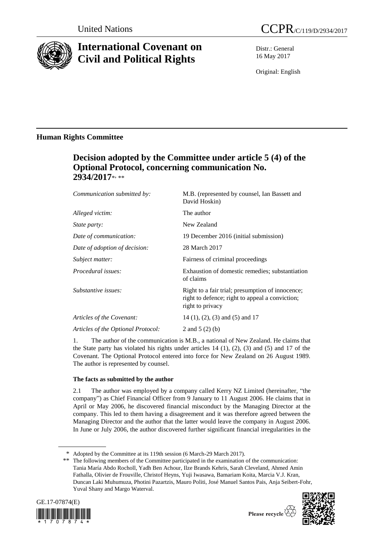

# **International Covenant on Civil and Political Rights**

Distr.: General 16 May 2017

Original: English

## **Human Rights Committee**

# **Decision adopted by the Committee under article 5 (4) of the Optional Protocol, concerning communication No. 2934/2017**\* , \*\*

| Communication submitted by:        | M.B. (represented by counsel, Ian Bassett and<br>David Hoskin)                                                          |
|------------------------------------|-------------------------------------------------------------------------------------------------------------------------|
| Alleged victim:                    | The author                                                                                                              |
| <i>State party:</i>                | New Zealand                                                                                                             |
| Date of communication:             | 19 December 2016 (initial submission)                                                                                   |
| Date of adoption of decision:      | 28 March 2017                                                                                                           |
| Subject matter:                    | Fairness of criminal proceedings                                                                                        |
| Procedural issues:                 | Exhaustion of domestic remedies; substantiation<br>of claims                                                            |
| Substantive issues:                | Right to a fair trial; presumption of innocence;<br>right to defence; right to appeal a conviction;<br>right to privacy |
| Articles of the Covenant:          | $14$ (1), (2), (3) and (5) and 17                                                                                       |
| Articles of the Optional Protocol: | 2 and $5(2)(b)$                                                                                                         |
|                                    |                                                                                                                         |

1. The author of the communication is M.B., a national of New Zealand. He claims that the State party has violated his rights under articles  $14$   $(1)$ ,  $(2)$ ,  $(3)$  and  $(5)$  and  $17$  of the Covenant. The Optional Protocol entered into force for New Zealand on 26 August 1989. The author is represented by counsel.

## **The facts as submitted by the author**

2.1 The author was employed by a company called Kerry NZ Limited (hereinafter, "the company") as Chief Financial Officer from 9 January to 11 August 2006. He claims that in April or May 2006, he discovered financial misconduct by the Managing Director at the company. This led to them having a disagreement and it was therefore agreed between the Managing Director and the author that the latter would leave the company in August 2006. In June or July 2006, the author discovered further significant financial irregularities in the

<sup>\*\*</sup> The following members of the Committee participated in the examination of the communication: Tania María Abdo Rocholl, Yadh Ben Achour, Ilze Brands Kehris, Sarah Cleveland, Ahmed Amin Fathalla, Olivier de Frouville, Christof Heyns, Yuji Iwasawa, Bamariam Koita, Marcia V.J. Kran, Duncan Laki Muhumuza, Photini Pazartzis, Mauro Politi, José Manuel Santos Pais, Anja Seibert-Fohr, Yuval Shany and Margo Waterval.







<sup>\*</sup> Adopted by the Committee at its 119th session (6 March-29 March 2017).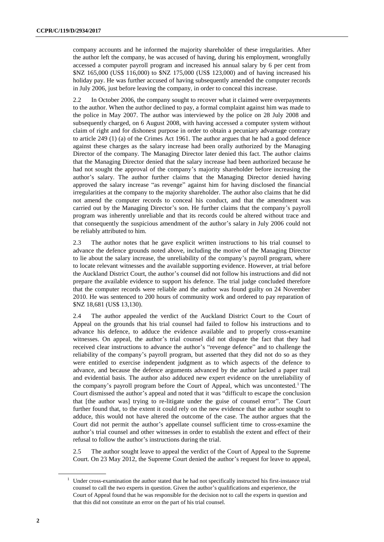company accounts and he informed the majority shareholder of these irregularities. After the author left the company, he was accused of having, during his employment, wrongfully accessed a computer payroll program and increased his annual salary by 6 per cent from \$NZ 165,000 (US\$ 116,000) to \$NZ 175,000 (US\$ 123,000) and of having increased his holiday pay. He was further accused of having subsequently amended the computer records in July 2006, just before leaving the company, in order to conceal this increase.

2.2 In October 2006, the company sought to recover what it claimed were overpayments to the author. When the author declined to pay, a formal complaint against him was made to the police in May 2007. The author was interviewed by the police on 28 July 2008 and subsequently charged, on 6 August 2008, with having accessed a computer system without claim of right and for dishonest purpose in order to obtain a pecuniary advantage contrary to article 249 (1) (a) of the Crimes Act 1961. The author argues that he had a good defence against these charges as the salary increase had been orally authorized by the Managing Director of the company. The Managing Director later denied this fact. The author claims that the Managing Director denied that the salary increase had been authorized because he had not sought the approval of the company's majority shareholder before increasing the author's salary. The author further claims that the Managing Director denied having approved the salary increase "as revenge" against him for having disclosed the financial irregularities at the company to the majority shareholder. The author also claims that he did not amend the computer records to conceal his conduct, and that the amendment was carried out by the Managing Director's son. He further claims that the company's payroll program was inherently unreliable and that its records could be altered without trace and that consequently the suspicious amendment of the author's salary in July 2006 could not be reliably attributed to him.

2.3 The author notes that he gave explicit written instructions to his trial counsel to advance the defence grounds noted above, including the motive of the Managing Director to lie about the salary increase, the unreliability of the company's payroll program, where to locate relevant witnesses and the available supporting evidence. However, at trial before the Auckland District Court, the author's counsel did not follow his instructions and did not prepare the available evidence to support his defence. The trial judge concluded therefore that the computer records were reliable and the author was found guilty on 24 November 2010. He was sentenced to 200 hours of community work and ordered to pay reparation of \$NZ 18,681 (US\$ 13,130).

2.4 The author appealed the verdict of the Auckland District Court to the Court of Appeal on the grounds that his trial counsel had failed to follow his instructions and to advance his defence, to adduce the evidence available and to properly cross-examine witnesses. On appeal, the author's trial counsel did not dispute the fact that they had received clear instructions to advance the author's "revenge defence" and to challenge the reliability of the company's payroll program, but asserted that they did not do so as they were entitled to exercise independent judgment as to which aspects of the defence to advance, and because the defence arguments advanced by the author lacked a paper trail and evidential basis. The author also adduced new expert evidence on the unreliability of the company's payroll program before the Court of Appeal, which was uncontested.<sup>1</sup> The Court dismissed the author's appeal and noted that it was "difficult to escape the conclusion that [the author was] trying to re-litigate under the guise of counsel error". The Court further found that, to the extent it could rely on the new evidence that the author sought to adduce, this would not have altered the outcome of the case. The author argues that the Court did not permit the author's appellate counsel sufficient time to cross-examine the author's trial counsel and other witnesses in order to establish the extent and effect of their refusal to follow the author's instructions during the trial.

2.5 The author sought leave to appeal the verdict of the Court of Appeal to the Supreme Court. On 23 May 2012, the Supreme Court denied the author's request for leave to appeal,

<sup>1</sup> Under cross-examination the author stated that he had not specifically instructed his first-instance trial counsel to call the two experts in question. Given the author's qualifications and experience, the Court of Appeal found that he was responsible for the decision not to call the experts in question and that this did not constitute an error on the part of his trial counsel.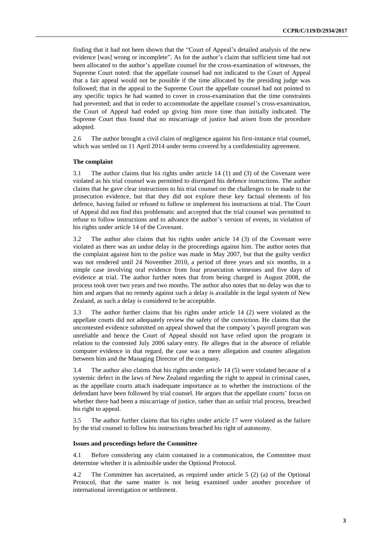finding that it had not been shown that the "Court of Appeal's detailed analysis of the new evidence [was] wrong or incomplete". As for the author's claim that sufficient time had not been allocated to the author's appellate counsel for the cross-examination of witnesses, the Supreme Court noted: that the appellate counsel had not indicated to the Court of Appeal that a fair appeal would not be possible if the time allocated by the presiding judge was followed; that in the appeal to the Supreme Court the appellate counsel had not pointed to any specific topics he had wanted to cover in cross-examination that the time constraints had prevented; and that in order to accommodate the appellate counsel's cross-examination, the Court of Appeal had ended up giving him more time than initially indicated. The Supreme Court thus found that no miscarriage of justice had arisen from the procedure adopted.

2.6 The author brought a civil claim of negligence against his first-instance trial counsel, which was settled on 11 April 2014 under terms covered by a confidentiality agreement.

### **The complaint**

3.1 The author claims that his rights under article 14 (1) and (3) of the Covenant were violated as his trial counsel was permitted to disregard his defence instructions. The author claims that he gave clear instructions to his trial counsel on the challenges to be made to the prosecution evidence, but that they did not explore these key factual elements of his defence, having failed or refused to follow or implement his instructions at trial. The Court of Appeal did not find this problematic and accepted that the trial counsel was permitted to refuse to follow instructions and to advance the author's version of events, in violation of his rights under article 14 of the Covenant.

3.2 The author also claims that his rights under article 14 (3) of the Covenant were violated as there was an undue delay in the proceedings against him. The author notes that the complaint against him to the police was made in May 2007, but that the guilty verdict was not rendered until 24 November 2010, a period of three years and six months, in a simple case involving oral evidence from four prosecution witnesses and five days of evidence at trial. The author further notes that from being charged in August 2008, the process took over two years and two months. The author also notes that no delay was due to him and argues that no remedy against such a delay is available in the legal system of New Zealand, as such a delay is considered to be acceptable.

3.3 The author further claims that his rights under article 14 (2) were violated as the appellate courts did not adequately review the safety of the conviction. He claims that the uncontested evidence submitted on appeal showed that the company's payroll program was unreliable and hence the Court of Appeal should not have relied upon the program in relation to the contested July 2006 salary entry. He alleges that in the absence of reliable computer evidence in that regard, the case was a mere allegation and counter allegation between him and the Managing Director of the company.

3.4 The author also claims that his rights under article 14 (5) were violated because of a systemic defect in the laws of New Zealand regarding the right to appeal in criminal cases, as the appellate courts attach inadequate importance as to whether the instructions of the defendant have been followed by trial counsel. He argues that the appellate courts' focus on whether there had been a miscarriage of justice, rather than an unfair trial process, breached his right to appeal.

3.5 The author further claims that his rights under article 17 were violated as the failure by the trial counsel to follow his instructions breached his right of autonomy.

### **Issues and proceedings before the Committee**

4.1 Before considering any claim contained in a communication, the Committee must determine whether it is admissible under the Optional Protocol.

4.2 The Committee has ascertained, as required under article 5 (2) (a) of the Optional Protocol, that the same matter is not being examined under another procedure of international investigation or settlement.